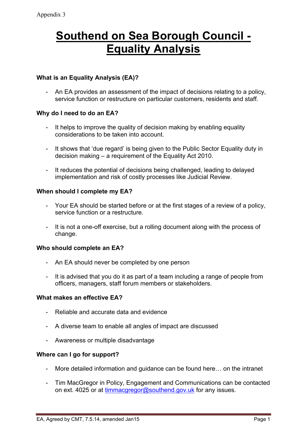# **Southend on Sea Borough Council - Equality Analysis**

## **What is an Equality Analysis (EA)?**

- An EA provides an assessment of the impact of decisions relating to a policy, service function or restructure on particular customers, residents and staff.

#### **Why do I need to do an EA?**

- It helps to improve the quality of decision making by enabling equality considerations to be taken into account.
- It shows that 'due regard' is being given to the Public Sector Equality duty in decision making – a requirement of the Equality Act 2010.
- It reduces the potential of decisions being challenged, leading to delayed implementation and risk of costly processes like Judicial Review.

#### **When should I complete my EA?**

- Your EA should be started before or at the first stages of a review of a policy, service function or a restructure.
- It is not a one-off exercise, but a rolling document along with the process of change.

## **Who should complete an EA?**

- An EA should never be completed by one person
- It is advised that you do it as part of a team including a range of people from officers, managers, staff forum members or stakeholders.

#### **What makes an effective EA?**

- Reliable and accurate data and evidence
- A diverse team to enable all angles of impact are discussed
- Awareness or multiple disadvantage

## **Where can I go for support?**

- More detailed information and guidance can be found here… on the intranet
- Tim MacGregor in Policy, Engagement and Communications can be contacted on ext. 4025 or at [timmacgregor@southend.gov.uk](mailto:timmacgregor@southend.gov.uk) for any issues.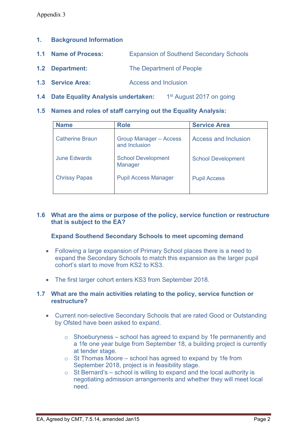## **1. Background Information**

- **1.1 Name of Process:** Expansion of Southend Secondary Schools
- **1.2 Department:** The Department of People
- **1.3 Service Area:** Access and Inclusion
- **1.4 Date Equality Analysis undertaken:** 1 st August 2017 on going
- **1.5 Names and roles of staff carrying out the Equality Analysis:**

| <b>Name</b>            | <b>Role</b>                                    | <b>Service Area</b>       |
|------------------------|------------------------------------------------|---------------------------|
| <b>Catherine Braun</b> | <b>Group Manager - Access</b><br>and Inclusion | Access and Inclusion      |
| <b>June Edwards</b>    | <b>School Development</b><br>Manager           | <b>School Development</b> |
| <b>Chrissy Papas</b>   | <b>Pupil Access Manager</b>                    | <b>Pupil Access</b>       |
|                        |                                                |                           |

#### **1.6 What are the aims or purpose of the policy, service function or restructure that is subject to the EA?**

## **Expand Southend Secondary Schools to meet upcoming demand**

- Following a large expansion of Primary School places there is a need to expand the Secondary Schools to match this expansion as the larger pupil cohort's start to move from KS2 to KS3.
- The first larger cohort enters KS3 from September 2018.

#### **1.7 What are the main activities relating to the policy, service function or restructure?**

- Current non-selective Secondary Schools that are rated Good or Outstanding by Ofsted have been asked to expand.
	- $\circ$  Shoeburyness school has agreed to expand by 1 fe permanently and a 1fe one year bulge from September 18, a building project is currently at tender stage.
	- $\circ$  St Thomas Moore school has agreed to expand by 1 fe from September 2018, project is in feasibility stage.
	- $\circ$  St Bernard's school is willing to expand and the local authority is negotiating admission arrangements and whether they will meet local need.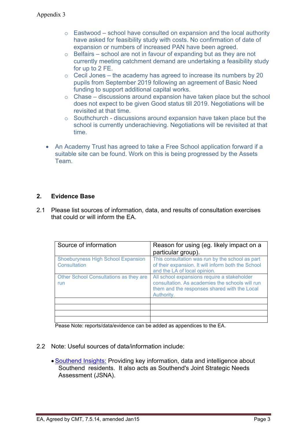- $\circ$  Eastwood school have consulted on expansion and the local authority have asked for feasibility study with costs. No confirmation of date of expansion or numbers of increased PAN have been agreed.
- $\circ$  Belfairs school are not in favour of expanding but as they are not currently meeting catchment demand are undertaking a feasibility study for up to 2 FE.
- $\circ$  Cecil Jones the academy has agreed to increase its numbers by 20 pupils from September 2019 following an agreement of Basic Need funding to support additional capital works.
- $\circ$  Chase discussions around expansion have taken place but the school does not expect to be given Good status till 2019. Negotiations will be revisited at that time.
- $\circ$  Southchurch discussions around expansion have taken place but the school is currently underachieving. Negotiations will be revisited at that time.
- An Academy Trust has agreed to take a Free School application forward if a suitable site can be found. Work on this is being progressed by the Assets **Team**

## **2. Evidence Base**

2.1 Please list sources of information, data, and results of consultation exercises that could or will inform the EA.

| Source of information                                     | Reason for using (eg. likely impact on a<br>particular group).                                                                                               |
|-----------------------------------------------------------|--------------------------------------------------------------------------------------------------------------------------------------------------------------|
| <b>Shoeburyness High School Expansion</b><br>Consultation | This consultation was run by the school as part<br>of their expansion. It will inform both the School<br>and the LA of local opinion.                        |
| Other School Consultations as they are<br>run             | All school expansions require a stakeholder<br>consultation. As academies the schools will run<br>them and the responses shared with the Local<br>Authority. |
|                                                           |                                                                                                                                                              |
|                                                           |                                                                                                                                                              |
|                                                           |                                                                                                                                                              |
|                                                           |                                                                                                                                                              |

Pease Note: reports/data/evidence can be added as appendices to the EA.

- 2.2 Note: Useful sources of data/information include:
	- [Southend](http://www.southend.gov.uk/info/200441/southend_insights) Insights: Providing key information, data and intelligence about Southend residents. It also acts as Southend's Joint Strategic Needs Assessment (JSNA).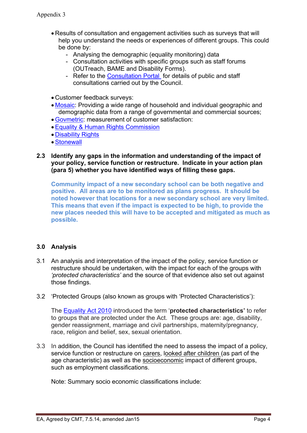- Results of consultation and engagement activities such as surveys that will help you understand the needs or experiences of different groups. This could be done by:
	- Analysing the demographic (equality monitoring) data
	- Consultation activities with specific groups such as staff forums (OUTreach, BAME and Disability Forms).
	- Refer to the [Consultation](http://www.southend.gov.uk/info/200402/give_your_view/447/consultation_and_engagement) Portal for details of public and staff consultations carried out by the Council.
- Customer feedback surveys:
- [Mosaic:](http://seattle/Pages/MOSAIC.aspx) Providing a wide range of household and individual geographic and demographic data from a range of governmental and commercial sources;
- [Govmetric:](http://seattle/Pages/GovMetric.aspx) measurement of customer satisfaction:
- Equality & Human Rights [Commission](http://www.equalityhumanrights.com/)
- [Disability](http://www.disabilityrightsuk.org/) Rights
- [Stonewall](http://www.stonewall.org.uk/)
- **2.3 Identify any gaps in the information and understanding of the impact of your policy, service function or restructure. Indicate in your action plan (para 5) whether you have identified ways of filling these gaps.**

**Community impact of a new secondary school can be both negative and positive. All areas are to be monitored as plans progress. It should be noted however that locations for a new secondary school are very limited. This means that even if the impact is expected to be high, to provide the new places needed this will have to be accepted and mitigated as much as possible.**

## **3.0 Analysis**

- 3.1 An analysis and interpretation of the impact of the policy, service function or restructure should be undertaken, with the impact for each of the groups with *'protected characteristics'* and the source of that evidence also set out against those findings.
- 3.2 'Protected Groups (also known as groups with 'Protected Characteristics'):

The [Equality](http://www.legislation.gov.uk/ukpga/2010/15/contents) Act 2010 introduced the term '**protected characteristics'** to refer to groups that are protected under the Act. These groups are: age, disability, gender reassignment, marriage and civil partnerships, maternity/pregnancy, race, religion and belief, sex, sexual orientation.

3.3 In addition, the Council has identified the need to assess the impact of a policy, service function or restructure on carers, looked after children (as part of the age characteristic) as well as the socioeconomic impact of different groups, such as employment classifications.

Note: Summary socio economic classifications include: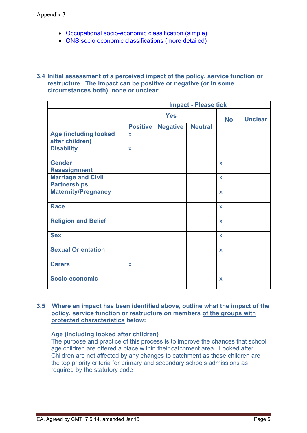- Occupational [socio-economic](http://en.wikipedia.org/wiki/NRS_social_grade) classification (simple)
- ONS socio economic [classifications](http://www.ons.gov.uk/ons/guide-method/classifications/current-standard-classifications/soc2010/soc2010-volume-3-ns-sec--rebased-on-soc2010--user-manual/index.html) (more detailed)

#### **3.4 Initial assessment of a perceived impact of the policy, service function or restructure. The impact can be positive or negative (or in some circumstances both), none or unclear:**

|                                                  | <b>Impact - Please tick</b> |                 |                |                           |  |
|--------------------------------------------------|-----------------------------|-----------------|----------------|---------------------------|--|
|                                                  | <b>Yes</b>                  |                 | <b>No</b>      | <b>Unclear</b>            |  |
|                                                  | <b>Positive</b>             | <b>Negative</b> | <b>Neutral</b> |                           |  |
| <b>Age (including looked</b><br>after children)  | $\boldsymbol{\mathsf{X}}$   |                 |                |                           |  |
| <b>Disability</b>                                | X                           |                 |                |                           |  |
| <b>Gender</b><br><b>Reassignment</b>             |                             |                 |                | $\mathbf x$               |  |
| <b>Marriage and Civil</b><br><b>Partnerships</b> |                             |                 |                | $\boldsymbol{\mathsf{X}}$ |  |
| <b>Maternity/Pregnancy</b>                       |                             |                 |                | $\mathsf{x}$              |  |
| <b>Race</b>                                      |                             |                 |                | $\boldsymbol{\mathsf{X}}$ |  |
| <b>Religion and Belief</b>                       |                             |                 |                | $\mathbf x$               |  |
| <b>Sex</b>                                       |                             |                 |                | $\mathsf{x}$              |  |
| <b>Sexual Orientation</b>                        |                             |                 |                | $\mathbf x$               |  |
| <b>Carers</b>                                    | $\boldsymbol{\mathsf{X}}$   |                 |                |                           |  |
| Socio-economic                                   |                             |                 |                | X                         |  |

#### **3.5 Where an impact has been identified above, outline what the impact of the policy, service function or restructure on members of the groups with protected characteristics below:**

#### **Age (including looked after children)**

The purpose and practice of this process is to improve the chances that school age children are offered a place within their catchment area. Looked after Children are not affected by any changes to catchment as these children are the top priority criteria for primary and secondary schools admissions as required by the statutory code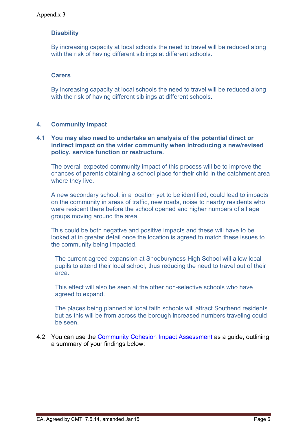# **Disability**

By increasing capacity at local schools the need to travel will be reduced along with the risk of having different siblings at different schools.

## **Carers**

By increasing capacity at local schools the need to travel will be reduced along with the risk of having different siblings at different schools.

## **4. Community Impact**

#### **4.1 You may also need to undertake an analysis of the potential direct or indirect impact on the wider community when introducing a new/revised policy, service function or restructure.**

The overall expected community impact of this process will be to improve the chances of parents obtaining a school place for their child in the catchment area where they live.

A new secondary school, in a location yet to be identified, could lead to impacts on the community in areas of traffic, new roads, noise to nearby residents who were resident there before the school opened and higher numbers of all age groups moving around the area.

This could be both negative and positive impacts and these will have to be looked at in greater detail once the location is agreed to match these issues to the community being impacted.

The current agreed expansion at Shoeburyness High School will allow local pupils to attend their local school, thus reducing the need to travel out of their area.

This effect will also be seen at the other non-selective schools who have agreed to expand.

The places being planned at local faith schools will attract Southend residents but as this will be from across the borough increased numbers traveling could be seen.

4.2 You can use the Community Cohesion Impact [Assessment](http://seattle/Pages/Equality-Analysis-formerly-Equality-Impact-Assessment.aspx) as a guide, outlining a summary of your findings below: